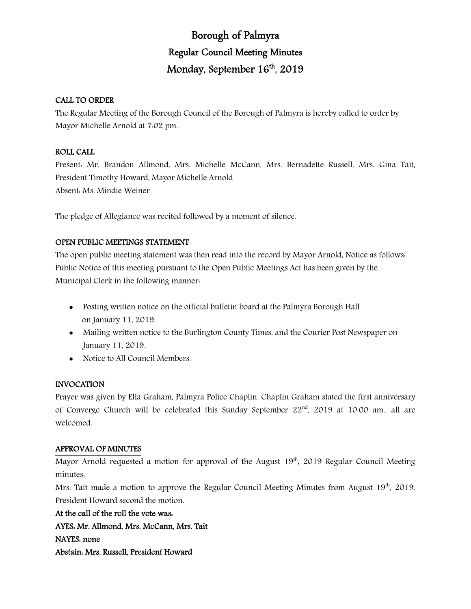# Borough of Palmyra Regular Council Meeting Minutes Monday, September 16<sup>th</sup>, 2019

# CALL TO ORDER

The Regular Meeting of the Borough Council of the Borough of Palmyra is hereby called to order by Mayor Michelle Arnold at 7:02 pm.

# ROLL CALL

Present: Mr. Brandon Allmond, Mrs. Michelle McCann, Mrs. Bernadette Russell, Mrs. Gina Tait, President Timothy Howard, Mayor Michelle Arnold Absent: Ms. Mindie Weiner

The pledge of Allegiance was recited followed by a moment of silence.

# OPEN PUBLIC MEETINGS STATEMENT

The open public meeting statement was then read into the record by Mayor Arnold, Notice as follows: Public Notice of this meeting pursuant to the Open Public Meetings Act has been given by the Municipal Clerk in the following manner:

- Posting written notice on the official bulletin board at the Palmyra Borough Hall on January 11, 2019.
- Mailing written notice to the Burlington County Times, and the Courier Post Newspaper on January 11, 2019.
- Notice to All Council Members.

# INVOCATION

Prayer was given by Ella Graham, Palmyra Police Chaplin. Chaplin Graham stated the first anniversary of Converge Church will be celebrated this Sunday September 22<sup>nd</sup>, 2019 at 10:00 am., all are welcomed.

# APPROVAL OF MINUTES

Mayor Arnold requested a motion for approval of the August  $19<sup>th</sup>$ , 2019 Regular Council Meeting minutes:

Mrs. Tait made a motion to approve the Regular Council Meeting Minutes from August  $19<sup>th</sup>$ , 2019. President Howard second the motion.

At the call of the roll the vote was: AYES: Mr. Allmond, Mrs. McCann, Mrs. Tait NAYES: none Abstain: Mrs. Russell, President Howard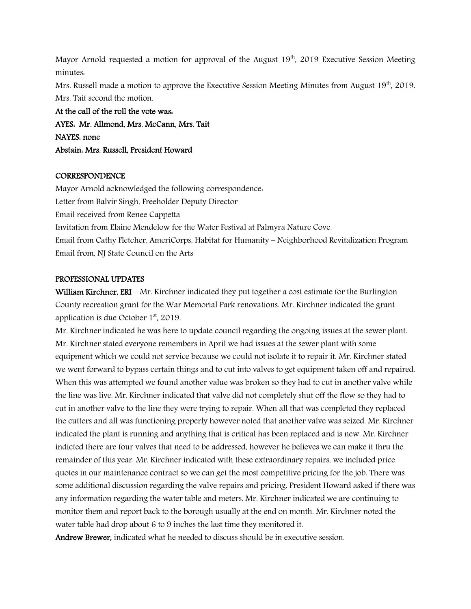Mayor Arnold requested a motion for approval of the August  $19<sup>th</sup>$ , 2019 Executive Session Meeting minutes:

Mrs. Russell made a motion to approve the Executive Session Meeting Minutes from August 19<sup>th</sup>, 2019. Mrs. Tait second the motion.

At the call of the roll the vote was: AYES: Mr. Allmond, Mrs. McCann, Mrs. Tait NAYES: none Abstain: Mrs. Russell, President Howard

#### **CORRESPONDENCE**

Mayor Arnold acknowledged the following correspondence: Letter from Balvir Singh, Freeholder Deputy Director Email received from Renee Cappetta Invitation from Elaine Mendelow for the Water Festival at Palmyra Nature Cove. Email from Cathy Fletcher, AmeriCorps, Habitat for Humanity – Neighborhood Revitalization Program Email from, NJ State Council on the Arts

### PROFESSIONAL UPDATES

William Kirchner, ERI – Mr. Kirchner indicated they put together a cost estimate for the Burlington County recreation grant for the War Memorial Park renovations. Mr. Kirchner indicated the grant application is due October 1<sup>st</sup>, 2019.

Mr. Kirchner indicated he was here to update council regarding the ongoing issues at the sewer plant. Mr. Kirchner stated everyone remembers in April we had issues at the sewer plant with some equipment which we could not service because we could not isolate it to repair it. Mr. Kirchner stated we went forward to bypass certain things and to cut into valves to get equipment taken off and repaired. When this was attempted we found another value was broken so they had to cut in another valve while the line was live. Mr. Kirchner indicated that valve did not completely shut off the flow so they had to cut in another valve to the line they were trying to repair. When all that was completed they replaced the cutters and all was functioning properly however noted that another valve was seized. Mr. Kirchner indicated the plant is running and anything that is critical has been replaced and is new. Mr. Kirchner indicted there are four valves that need to be addressed, however he believes we can make it thru the remainder of this year. Mr. Kirchner indicated with these extraordinary repairs, we included price quotes in our maintenance contract so we can get the most competitive pricing for the job. There was some additional discussion regarding the valve repairs and pricing. President Howard asked if there was any information regarding the water table and meters. Mr. Kirchner indicated we are continuing to monitor them and report back to the borough usually at the end on month. Mr. Kirchner noted the water table had drop about 6 to 9 inches the last time they monitored it.

Andrew Brewer, indicated what he needed to discuss should be in executive session.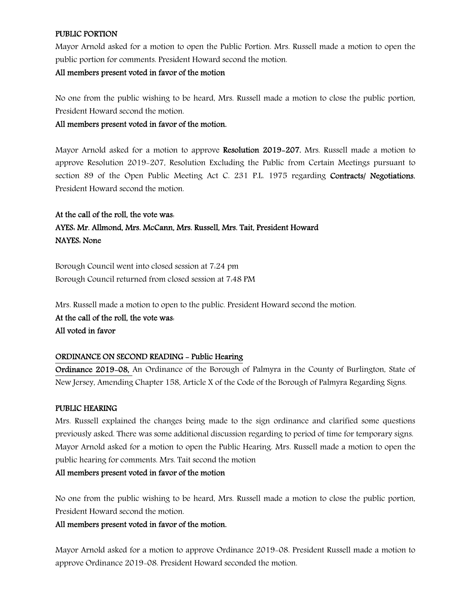### PUBLIC PORTION

Mayor Arnold asked for a motion to open the Public Portion. Mrs. Russell made a motion to open the public portion for comments. President Howard second the motion.

### All members present voted in favor of the motion

No one from the public wishing to be heard, Mrs. Russell made a motion to close the public portion, President Howard second the motion.

All members present voted in favor of the motion.

Mayor Arnold asked for a motion to approve Resolution 2019–207. Mrs. Russell made a motion to approve Resolution 2019-207, Resolution Excluding the Public from Certain Meetings pursuant to section 89 of the Open Public Meeting Act C. 231 P.L. 1975 regarding Contracts/ Negotiations. President Howard second the motion.

# At the call of the roll, the vote was: AYES: Mr. Allmond, Mrs. McCann, Mrs. Russell, Mrs. Tait, President Howard NAYES: None

Borough Council went into closed session at 7:24 pm Borough Council returned from closed session at 7:48 PM

Mrs. Russell made a motion to open to the public. President Howard second the motion.

At the call of the roll, the vote was: All voted in favor

### ORDINANCE ON SECOND READING - Public Hearing

Ordinance 2019-08, An Ordinance of the Borough of Palmyra in the County of Burlington, State of New Jersey, Amending Chapter 158, Article X of the Code of the Borough of Palmyra Regarding Signs.

### PUBLIC HEARING

Mrs. Russell explained the changes being made to the sign ordinance and clarified some questions previously asked. There was some additional discussion regarding to period of time for temporary signs. Mayor Arnold asked for a motion to open the Public Hearing. Mrs. Russell made a motion to open the public hearing for comments. Mrs. Tait second the motion

### All members present voted in favor of the motion

No one from the public wishing to be heard, Mrs. Russell made a motion to close the public portion, President Howard second the motion.

### All members present voted in favor of the motion.

Mayor Arnold asked for a motion to approve Ordinance 2019-08. President Russell made a motion to approve Ordinance 2019-08. President Howard seconded the motion.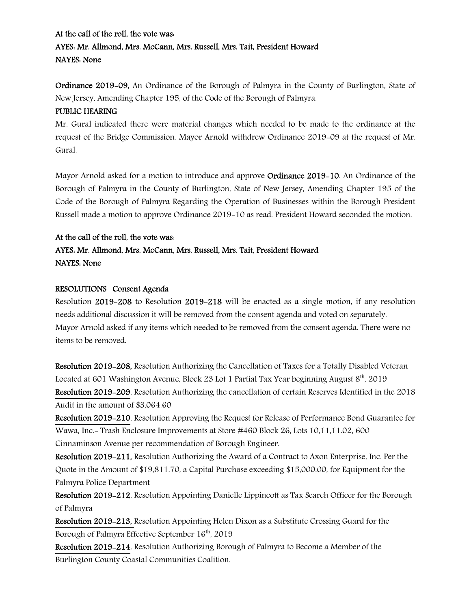# At the call of the roll, the vote was: AYES: Mr. Allmond, Mrs. McCann, Mrs. Russell, Mrs. Tait, President Howard NAYES: None

Ordinance 2019-09, An Ordinance of the Borough of Palmyra in the County of Burlington, State of New Jersey, Amending Chapter 195, of the Code of the Borough of Palmyra.

### PUBLIC HEARING

Mr. Gural indicated there were material changes which needed to be made to the ordinance at the request of the Bridge Commission. Mayor Arnold withdrew Ordinance 2019-09 at the request of Mr. Gural.

Mayor Arnold asked for a motion to introduce and approve Ordinance 2019-10. An Ordinance of the Borough of Palmyra in the County of Burlington, State of New Jersey, Amending Chapter 195 of the Code of the Borough of Palmyra Regarding the Operation of Businesses within the Borough President Russell made a motion to approve Ordinance 2019-10 as read. President Howard seconded the motion.

# At the call of the roll, the vote was:

# AYES: Mr. Allmond, Mrs. McCann, Mrs. Russell, Mrs. Tait, President Howard NAYES: None

### RESOLUTIONS Consent Agenda

Resolution 2019-208 to Resolution 2019-218 will be enacted as a single motion, if any resolution needs additional discussion it will be removed from the consent agenda and voted on separately. Mayor Arnold asked if any items which needed to be removed from the consent agenda. There were no items to be removed.

Resolution 2019-208, Resolution Authorizing the Cancellation of Taxes for a Totally Disabled Veteran Located at 601 Washington Avenue, Block 23 Lot 1 Partial Tax Year beginning August 8<sup>th</sup>, 2019 Resolution 2019-209, Resolution Authorizing the cancellation of certain Reserves Identified in the 2018 Audit in the amount of \$3,064.60

Resolution 2019-210, Resolution Approving the Request for Release of Performance Bond Guarantee for Wawa, Inc.- Trash Enclosure Improvements at Store #460 Block 26, Lots 10,11,11.02, 600 Cinnaminson Avenue per recommendation of Borough Engineer.

Resolution 2019-211, Resolution Authorizing the Award of a Contract to Axon Enterprise, Inc. Per the Quote in the Amount of \$19,811.70, a Capital Purchase exceeding \$15,000.00, for Equipment for the Palmyra Police Department

Resolution 2019-212, Resolution Appointing Danielle Lippincott as Tax Search Officer for the Borough of Palmyra

Resolution 2019-213, Resolution Appointing Helen Dixon as a Substitute Crossing Guard for the Borough of Palmyra Effective September 16<sup>th</sup>, 2019

Resolution 2019-214, Resolution Authorizing Borough of Palmyra to Become a Member of the Burlington County Coastal Communities Coalition.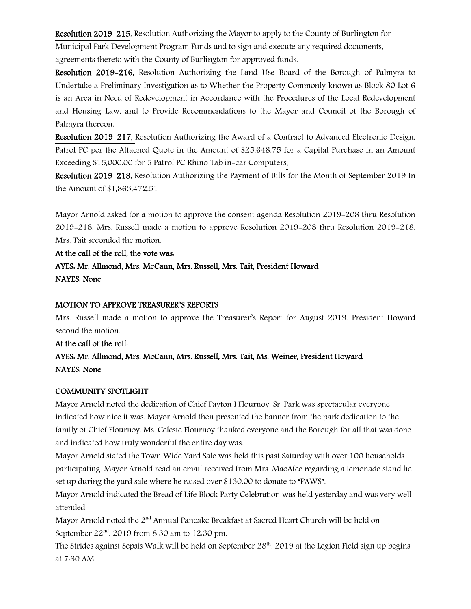Resolution 2019-215, Resolution Authorizing the Mayor to apply to the County of Burlington for Municipal Park Development Program Funds and to sign and execute any required documents, agreements thereto with the County of Burlington for approved funds.

Resolution 2019-216, Resolution Authorizing the Land Use Board of the Borough of Palmyra to Undertake a Preliminary Investigation as to Whether the Property Commonly known as Block 80 Lot 6 is an Area in Need of Redevelopment in Accordance with the Procedures of the Local Redevelopment and Housing Law, and to Provide Recommendations to the Mayor and Council of the Borough of Palmyra thereon.

Resolution 2019-217, Resolution Authorizing the Award of a Contract to Advanced Electronic Design, Patrol PC per the Attached Quote in the Amount of \$25,648.75 for a Capital Purchase in an Amount Exceeding \$15,000.00 for 5 Patrol PC Rhino Tab in-car Computers.

Resolution 2019-218, Resolution Authorizing the Payment of Bills for the Month of September 2019 In the Amount of \$1,863,472.51

Mayor Arnold asked for a motion to approve the consent agenda Resolution 2019-208 thru Resolution 2019-218. Mrs. Russell made a motion to approve Resolution 2019-208 thru Resolution 2019-218. Mrs. Tait seconded the motion.

At the call of the roll, the vote was:

AYES: Mr. Allmond, Mrs. McCann, Mrs. Russell, Mrs. Tait, President Howard NAYES: None

### MOTION TO APPROVE TREASURER'S REPORTS

Mrs. Russell made a motion to approve the Treasurer's Report for August 2019. President Howard second the motion.

At the call of the roll: AYES: Mr. Allmond, Mrs. McCann, Mrs. Russell, Mrs. Tait, Ms. Weiner, President Howard NAYES: None

### COMMUNITY SPOTLIGHT

Mayor Arnold noted the dedication of Chief Payton I Flournoy, Sr. Park was spectacular everyone indicated how nice it was. Mayor Arnold then presented the banner from the park dedication to the family of Chief Flournoy. Ms. Celeste Flournoy thanked everyone and the Borough for all that was done and indicated how truly wonderful the entire day was.

Mayor Arnold stated the Town Wide Yard Sale was held this past Saturday with over 100 households participating. Mayor Arnold read an email received from Mrs. MacAfee regarding a lemonade stand he set up during the yard sale where he raised over \$130.00 to donate to "PAWS".

Mayor Arnold indicated the Bread of Life Block Party Celebration was held yesterday and was very well attended.

Mayor Arnold noted the 2<sup>nd</sup> Annual Pancake Breakfast at Sacred Heart Church will be held on September 22nd. 2019 from 8:30 am to 12:30 pm.

The Strides against Sepsis Walk will be held on September  $28<sup>th</sup>$ , 2019 at the Legion Field sign up begins at 7:30 AM.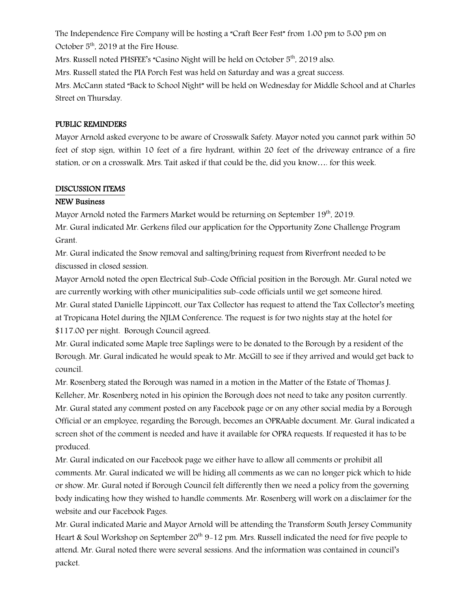The Independence Fire Company will be hosting a "Craft Beer Fest" from 1:00 pm to 5:00 pm on October 5<sup>th</sup>, 2019 at the Fire House.

Mrs. Russell noted PHSFEE's "Casino Night will be held on October 5<sup>th</sup>, 2019 also.

Mrs. Russell stated the PIA Porch Fest was held on Saturday and was a great success.

Mrs. McCann stated "Back to School Night" will be held on Wednesday for Middle School and at Charles Street on Thursday.

### PUBLIC REMINDERS

Mayor Arnold asked everyone to be aware of Crosswalk Safety. Mayor noted you cannot park within 50 feet of stop sign, within 10 feet of a fire hydrant, within 20 feet of the driveway entrance of a fire station, or on a crosswalk. Mrs. Tait asked if that could be the, did you know…. for this week.

### DISCUSSION ITEMS

# NEW Business

Mayor Arnold noted the Farmers Market would be returning on September  $19<sup>th</sup>$ , 2019.

Mr. Gural indicated Mr. Gerkens filed our application for the Opportunity Zone Challenge Program Grant.

Mr. Gural indicated the Snow removal and salting/brining request from Riverfront needed to be discussed in closed session.

Mayor Arnold noted the open Electrical Sub-Code Official position in the Borough. Mr. Gural noted we are currently working with other municipalities sub-code officials until we get someone hired. Mr. Gural stated Danielle Lippincott, our Tax Collector has request to attend the Tax Collector's meeting at Tropicana Hotel during the NJLM Conference. The request is for two nights stay at the hotel for \$117.00 per night. Borough Council agreed.

Mr. Gural indicated some Maple tree Saplings were to be donated to the Borough by a resident of the Borough. Mr. Gural indicated he would speak to Mr. McGill to see if they arrived and would get back to council.

Mr. Rosenberg stated the Borough was named in a motion in the Matter of the Estate of Thomas J. Kelleher, Mr. Rosenberg noted in his opinion the Borough does not need to take any positon currently. Mr. Gural stated any comment posted on any Facebook page or on any other social media by a Borough Official or an employee, regarding the Borough, becomes an OPRAable document. Mr. Gural indicated a screen shot of the comment is needed and have it available for OPRA requests. If requested it has to be produced.

Mr. Gural indicated on our Facebook page we either have to allow all comments or prohibit all comments. Mr. Gural indicated we will be hiding all comments as we can no longer pick which to hide or show. Mr. Gural noted if Borough Council felt differently then we need a policy from the governing body indicating how they wished to handle comments. Mr. Rosenberg will work on a disclaimer for the website and our Facebook Pages.

Mr. Gural indicated Marie and Mayor Arnold will be attending the Transform South Jersey Community Heart & Soul Workshop on September  $20<sup>th</sup> 9-12$  pm. Mrs. Russell indicated the need for five people to attend. Mr. Gural noted there were several sessions. And the information was contained in council's packet.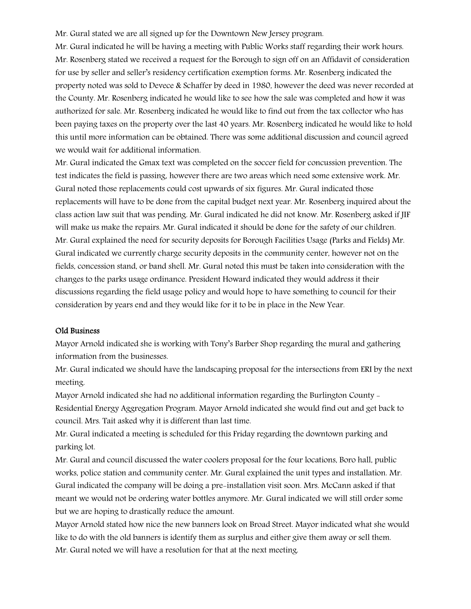Mr. Gural stated we are all signed up for the Downtown New Jersey program.

Mr. Gural indicated he will be having a meeting with Public Works staff regarding their work hours. Mr. Rosenberg stated we received a request for the Borough to sign off on an Affidavit of consideration for use by seller and seller's residency certification exemption forms. Mr. Rosenberg indicated the property noted was sold to Devece & Schaffer by deed in 1980, however the deed was never recorded at the County. Mr. Rosenberg indicated he would like to see how the sale was completed and how it was authorized for sale. Mr. Rosenberg indicated he would like to find out from the tax collector who has been paying taxes on the property over the last 40 years. Mr. Rosenberg indicated he would like to hold this until more information can be obtained. There was some additional discussion and council agreed we would wait for additional information.

Mr. Gural indicated the Gmax text was completed on the soccer field for concussion prevention. The test indicates the field is passing, however there are two areas which need some extensive work. Mr. Gural noted those replacements could cost upwards of six figures. Mr. Gural indicated those replacements will have to be done from the capital budget next year. Mr. Rosenberg inquired about the class action law suit that was pending. Mr. Gural indicated he did not know. Mr. Rosenberg asked if JIF will make us make the repairs. Mr. Gural indicated it should be done for the safety of our children. Mr. Gural explained the need for security deposits for Borough Facilities Usage (Parks and Fields) Mr. Gural indicated we currently charge security deposits in the community center, however not on the fields, concession stand, or band shell. Mr. Gural noted this must be taken into consideration with the changes to the parks usage ordinance. President Howard indicated they would address it their discussions regarding the field usage policy and would hope to have something to council for their consideration by years end and they would like for it to be in place in the New Year.

#### Old Business

Mayor Arnold indicated she is working with Tony's Barber Shop regarding the mural and gathering information from the businesses.

Mr. Gural indicated we should have the landscaping proposal for the intersections from ERI by the next meeting.

Mayor Arnold indicated she had no additional information regarding the Burlington County - Residential Energy Aggregation Program. Mayor Arnold indicated she would find out and get back to council. Mrs. Tait asked why it is different than last time.

Mr. Gural indicated a meeting is scheduled for this Friday regarding the downtown parking and parking lot.

Mr. Gural and council discussed the water coolers proposal for the four locations, Boro hall, public works, police station and community center. Mr. Gural explained the unit types and installation. Mr. Gural indicated the company will be doing a pre-installation visit soon. Mrs. McCann asked if that meant we would not be ordering water bottles anymore. Mr. Gural indicated we will still order some but we are hoping to drastically reduce the amount.

Mayor Arnold stated how nice the new banners look on Broad Street. Mayor indicated what she would like to do with the old banners is identify them as surplus and either give them away or sell them. Mr. Gural noted we will have a resolution for that at the next meeting.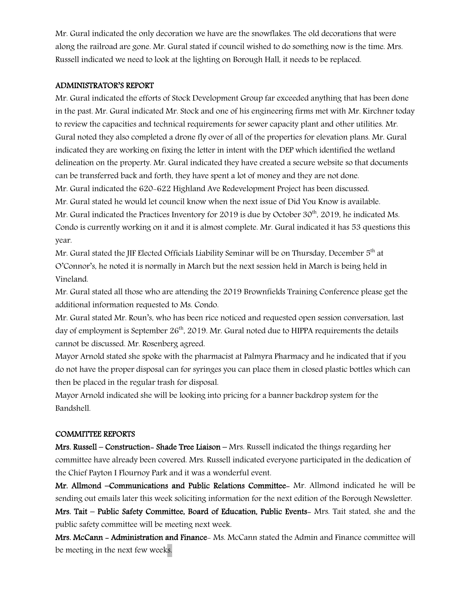Mr. Gural indicated the only decoration we have are the snowflakes. The old decorations that were along the railroad are gone. Mr. Gural stated if council wished to do something now is the time. Mrs. Russell indicated we need to look at the lighting on Borough Hall, it needs to be replaced.

### ADMINISTRATOR'S REPORT

Mr. Gural indicated the efforts of Stock Development Group far exceeded anything that has been done in the past. Mr. Gural indicated Mr. Stock and one of his engineering firms met with Mr. Kirchner today to review the capacities and technical requirements for sewer capacity plant and other utilities. Mr. Gural noted they also completed a drone fly over of all of the properties for elevation plans. Mr. Gural indicated they are working on fixing the letter in intent with the DEP which identified the wetland delineation on the property. Mr. Gural indicated they have created a secure website so that documents can be transferred back and forth, they have spent a lot of money and they are not done. Mr. Gural indicated the 620-622 Highland Ave Redevelopment Project has been discussed. Mr. Gural stated he would let council know when the next issue of Did You Know is available.

Mr. Gural indicated the Practices Inventory for 2019 is due by October 30<sup>th</sup>, 2019, he indicated Ms. Condo is currently working on it and it is almost complete. Mr. Gural indicated it has 53 questions this year.

Mr. Gural stated the JIF Elected Officials Liability Seminar will be on Thursday, December 5<sup>th</sup> at O'Connor's, he noted it is normally in March but the next session held in March is being held in Vineland.

Mr. Gural stated all those who are attending the 2019 Brownfields Training Conference please get the additional information requested to Ms. Condo.

Mr. Gural stated Mr. Roun's, who has been rice noticed and requested open session conversation, last day of employment is September  $26<sup>th</sup>$ , 2019. Mr. Gural noted due to HIPPA requirements the details cannot be discussed. Mr. Rosenberg agreed.

Mayor Arnold stated she spoke with the pharmacist at Palmyra Pharmacy and he indicated that if you do not have the proper disposal can for syringes you can place them in closed plastic bottles which can then be placed in the regular trash for disposal.

Mayor Arnold indicated she will be looking into pricing for a banner backdrop system for the Bandshell.

### COMMITTEE REPORTS

Mrs. Russell – Construction- Shade Tree Liaison – Mrs. Russell indicated the things regarding her committee have already been covered. Mrs. Russell indicated everyone participated in the dedication of the Chief Payton I Flournoy Park and it was a wonderful event.

Mr. Allmond –Communications and Public Relations Committee- Mr. Allmond indicated he will be sending out emails later this week soliciting information for the next edition of the Borough Newsletter.

Mrs. Tait – Public Safety Committee, Board of Education, Public Events- Mrs. Tait stated, she and the public safety committee will be meeting next week.

Mrs. McCann - Administration and Finance- Ms. McCann stated the Admin and Finance committee will be meeting in the next few weeks.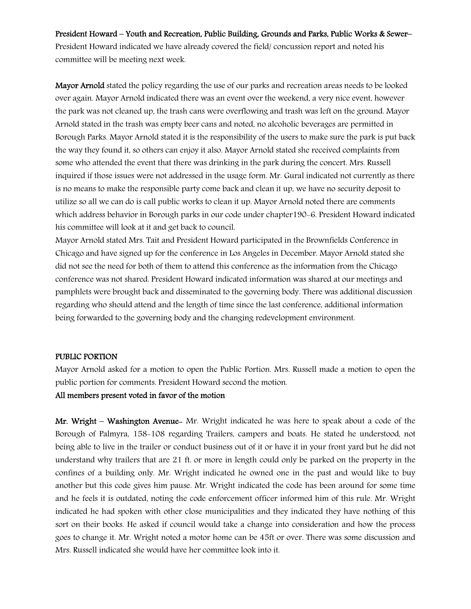### President Howard – Youth and Recreation, Public Building, Grounds and Parks, Public Works & Sewer–

President Howard indicated we have already covered the field/ concussion report and noted his committee will be meeting next week.

Mayor Arnold stated the policy regarding the use of our parks and recreation areas needs to be looked over again. Mayor Arnold indicated there was an event over the weekend, a very nice event, however the park was not cleaned up, the trash cans were overflowing and trash was left on the ground. Mayor Arnold stated in the trash was empty beer cans and noted, no alcoholic beverages are permitted in Borough Parks. Mayor Arnold stated it is the responsibility of the users to make sure the park is put back the way they found it, so others can enjoy it also. Mayor Arnold stated she received complaints from some who attended the event that there was drinking in the park during the concert. Mrs. Russell inquired if those issues were not addressed in the usage form. Mr. Gural indicated not currently as there is no means to make the responsible party come back and clean it up, we have no security deposit to utilize so all we can do is call public works to clean it up. Mayor Arnold noted there are comments which address behavior in Borough parks in our code under chapter190-6. President Howard indicated his committee will look at it and get back to council.

Mayor Arnold stated Mrs. Tait and President Howard participated in the Brownfields Conference in Chicago and have signed up for the conference in Los Angeles in December. Mayor Arnold stated she did not see the need for both of them to attend this conference as the information from the Chicago conference was not shared. President Howard indicated information was shared at our meetings and pamphlets were brought back and disseminated to the governing body. There was additional discussion regarding who should attend and the length of time since the last conference, additional information being forwarded to the governing body and the changing redevelopment environment.

#### PUBLIC PORTION

Mayor Arnold asked for a motion to open the Public Portion. Mrs. Russell made a motion to open the public portion for comments. President Howard second the motion.

### All members present voted in favor of the motion

Mr. Wright – Washington Avenue- Mr. Wright indicated he was here to speak about a code of the Borough of Palmyra, 158-108 regarding Trailers, campers and boats. He stated he understood, not being able to live in the trailer or conduct business out of it or have it in your front yard but he did not understand why trailers that are 21 ft. or more in length could only be parked on the property in the confines of a building only. Mr. Wright indicated he owned one in the past and would like to buy another but this code gives him pause. Mr. Wright indicated the code has been around for some time and he feels it is outdated, noting the code enforcement officer informed him of this rule. Mr. Wright indicated he had spoken with other close municipalities and they indicated they have nothing of this sort on their books. He asked if council would take a change into consideration and how the process goes to change it. Mr. Wright noted a motor home can be 45ft or over. There was some discussion and Mrs. Russell indicated she would have her committee look into it.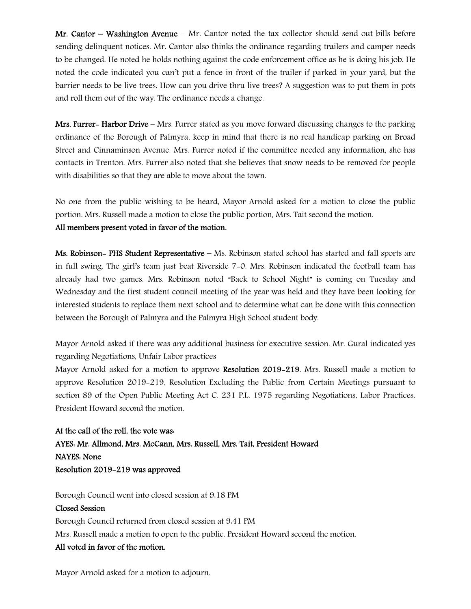Mr. Cantor – Washington Avenue – Mr. Cantor noted the tax collector should send out bills before sending delinquent notices. Mr. Cantor also thinks the ordinance regarding trailers and camper needs to be changed. He noted he holds nothing against the code enforcement office as he is doing his job. He noted the code indicated you can't put a fence in front of the trailer if parked in your yard, but the barrier needs to be live trees. How can you drive thru live trees? A suggestion was to put them in pots and roll them out of the way. The ordinance needs a change.

Mrs. Furrer- Harbor Drive – Mrs. Furrer stated as you move forward discussing changes to the parking ordinance of the Borough of Palmyra, keep in mind that there is no real handicap parking on Broad Street and Cinnaminson Avenue. Mrs. Furrer noted if the committee needed any information, she has contacts in Trenton. Mrs. Furrer also noted that she believes that snow needs to be removed for people with disabilities so that they are able to move about the town.

No one from the public wishing to be heard, Mayor Arnold asked for a motion to close the public portion. Mrs. Russell made a motion to close the public portion, Mrs. Tait second the motion.

# All members present voted in favor of the motion.

Ms. Robinson– PHS Student Representative – Ms. Robinson stated school has started and fall sports are in full swing. The girl's team just beat Riverside 7-0. Mrs. Robinson indicated the football team has already had two games. Mrs. Robinson noted "Back to School Night" is coming on Tuesday and Wednesday and the first student council meeting of the year was held and they have been looking for interested students to replace them next school and to determine what can be done with this connection between the Borough of Palmyra and the Palmyra High School student body.

Mayor Arnold asked if there was any additional business for executive session. Mr. Gural indicated yes regarding Negotiations, Unfair Labor practices

Mayor Arnold asked for a motion to approve Resolution 2019–219. Mrs. Russell made a motion to approve Resolution 2019-219, Resolution Excluding the Public from Certain Meetings pursuant to section 89 of the Open Public Meeting Act C. 231 P.L. 1975 regarding Negotiations, Labor Practices. President Howard second the motion.

At the call of the roll, the vote was: AYES: Mr. Allmond, Mrs. McCann, Mrs. Russell, Mrs. Tait, President Howard NAYES: None Resolution 2019-219 was approved

Borough Council went into closed session at 9:18 PM

# Closed Session Borough Council returned from closed session at 9:41 PM Mrs. Russell made a motion to open to the public. President Howard second the motion. All voted in favor of the motion.

Mayor Arnold asked for a motion to adjourn.